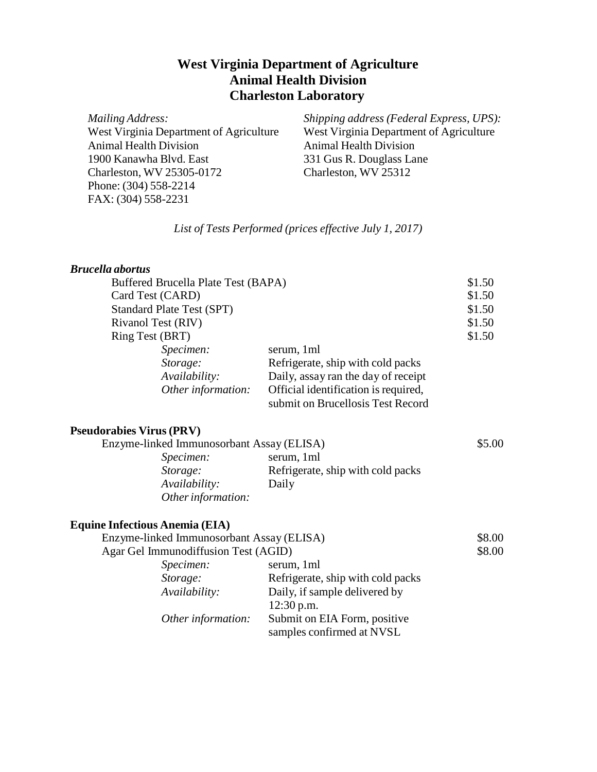# **West Virginia Department of Agriculture Animal Health Division Charleston Laboratory**

*Mailing Address:* West Virginia Department of Agriculture Animal Health Division 1900 Kanawha Blvd. East Charleston, WV 25305-0172 Phone: (304) 558-2214 FAX: (304) 558-2231

*Shipping address (Federal Express, UPS):* West Virginia Department of Agriculture Animal Health Division 331 Gus R. Douglass Lane Charleston, WV 25312

## *List of Tests Performed (prices effective July 1, 2017)*

### *Brucella abortus*

| Buffered Brucella Plate Test (BAPA) |                                      | \$1.50 |
|-------------------------------------|--------------------------------------|--------|
| Card Test (CARD)                    |                                      | \$1.50 |
| <b>Standard Plate Test (SPT)</b>    |                                      | \$1.50 |
| Rivanol Test (RIV)                  |                                      | \$1.50 |
| <b>Ring Test (BRT)</b>              |                                      | \$1.50 |
| Specimen:                           | serum, 1ml                           |        |
| Storage:                            | Refrigerate, ship with cold packs    |        |
| Availability:                       | Daily, assay ran the day of receipt  |        |
| Other information:                  | Official identification is required, |        |
|                                     | submit on Brucellosis Test Record    |        |

#### **Pseudorabies Virus (PRV)**

| Enzyme-linked Immunosorbant Assay (ELISA) |                                   | \$5.00 |
|-------------------------------------------|-----------------------------------|--------|
| <i>Specimen:</i>                          | serum, 1ml                        |        |
| Storage:                                  | Refrigerate, ship with cold packs |        |
| Availability:                             | Daily                             |        |
| Other information:                        |                                   |        |

### **Equine Infectious Anemia (EIA)**

| Enzyme-linked Immunosorbant Assay (ELISA) |                                   | \$8.00 |
|-------------------------------------------|-----------------------------------|--------|
| Agar Gel Immunodiffusion Test (AGID)      |                                   | \$8.00 |
| Specimen:                                 | serum, 1ml                        |        |
| Storage:                                  | Refrigerate, ship with cold packs |        |
| Availability:                             | Daily, if sample delivered by     |        |
|                                           | $12:30$ p.m.                      |        |
| Other information:                        | Submit on EIA Form, positive      |        |
|                                           | samples confirmed at NVSL         |        |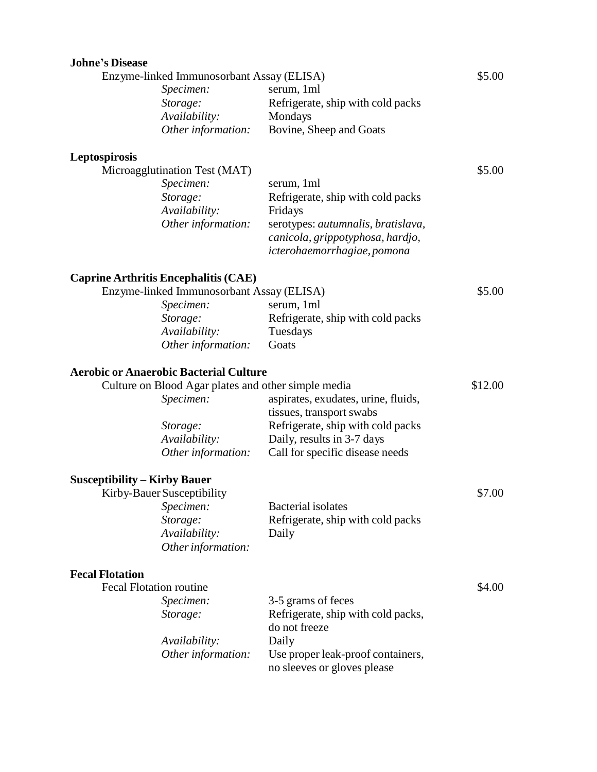| <b>Johne's Disease</b>                    |                                                     |                                                                  |         |
|-------------------------------------------|-----------------------------------------------------|------------------------------------------------------------------|---------|
| Enzyme-linked Immunosorbant Assay (ELISA) |                                                     | \$5.00                                                           |         |
|                                           | Specimen:                                           | serum, 1ml                                                       |         |
|                                           | Storage:                                            | Refrigerate, ship with cold packs                                |         |
|                                           | Availability:                                       | Mondays                                                          |         |
|                                           | Other information:                                  | Bovine, Sheep and Goats                                          |         |
| Leptospirosis                             |                                                     |                                                                  |         |
|                                           | Microagglutination Test (MAT)                       |                                                                  | \$5.00  |
|                                           | Specimen:                                           | serum, 1ml                                                       |         |
|                                           | Storage:                                            | Refrigerate, ship with cold packs                                |         |
|                                           | Availability:                                       | Fridays                                                          |         |
|                                           | Other information:                                  | serotypes: autumnalis, bratislava,                               |         |
|                                           |                                                     | canicola, grippotyphosa, hardjo,                                 |         |
|                                           |                                                     | icterohaemorrhagiae, pomona                                      |         |
|                                           | <b>Caprine Arthritis Encephalitis (CAE)</b>         |                                                                  |         |
| Enzyme-linked Immunosorbant Assay (ELISA) |                                                     |                                                                  | \$5.00  |
|                                           | Specimen:                                           | serum, 1ml                                                       |         |
|                                           | Storage:                                            | Refrigerate, ship with cold packs                                |         |
|                                           | Availability:                                       | Tuesdays                                                         |         |
|                                           | Other information:                                  | Goats                                                            |         |
|                                           | <b>Aerobic or Anaerobic Bacterial Culture</b>       |                                                                  |         |
|                                           | Culture on Blood Agar plates and other simple media |                                                                  | \$12.00 |
|                                           | Specimen:                                           | aspirates, exudates, urine, fluids,                              |         |
|                                           |                                                     | tissues, transport swabs                                         |         |
|                                           | Storage:                                            | Refrigerate, ship with cold packs                                |         |
|                                           | Availability:                                       | Daily, results in 3-7 days                                       |         |
|                                           | Other information:                                  | Call for specific disease needs                                  |         |
| <b>Susceptibility – Kirby Bauer</b>       |                                                     |                                                                  |         |
|                                           | Kirby-Bauer Susceptibility                          |                                                                  | \$7.00  |
|                                           | Specimen:                                           | Bacterial isolates                                               |         |
|                                           | Storage:                                            | Refrigerate, ship with cold packs                                |         |
|                                           | Availability:                                       | Daily                                                            |         |
|                                           | Other information:                                  |                                                                  |         |
| <b>Fecal Flotation</b>                    |                                                     |                                                                  |         |
| <b>Fecal Flotation routine</b>            |                                                     |                                                                  | \$4.00  |
|                                           | Specimen:                                           | 3-5 grams of feces                                               |         |
|                                           | Storage:                                            | Refrigerate, ship with cold packs,                               |         |
|                                           |                                                     | do not freeze                                                    |         |
|                                           | Availability:                                       | Daily                                                            |         |
|                                           | Other information:                                  | Use proper leak-proof containers,<br>no sleeves or gloves please |         |